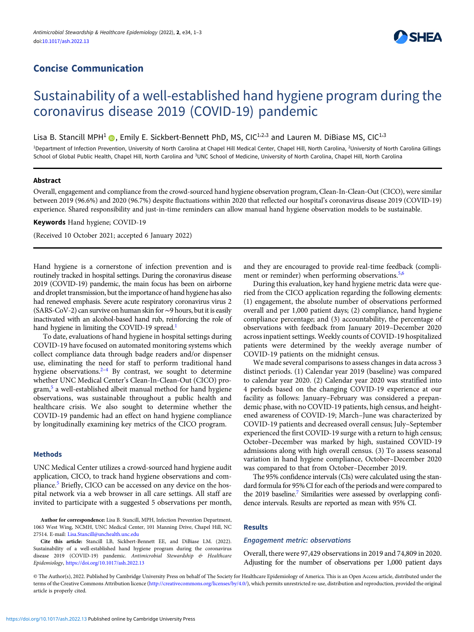## Concise Communication



# Sustainability of a well-established hand hygiene program during the coronavirus disease 2019 (COVID-19) pandemic

Lisa B. Stancill MPH<sup>1</sup> **(a**), Emily E. Sickbert-Bennett PhD, MS, CIC<sup>1,2,3</sup> and Lauren M. DiBiase MS, CIC<sup>1,3</sup>

<sup>1</sup>Department of Infection Prevention, University of North Carolina at Chapel Hill Medical Center, Chapel Hill, North Carolina, <sup>2</sup>University of North Carolina Gillings School of Global Public Health, Chapel Hill, North Carolina and <sup>3</sup>UNC School of Medicine, University of North Carolina, Chapel Hill, North Carolina

## Abstract

Overall, engagement and compliance from the crowd-sourced hand hygiene observation program, Clean-In-Clean-Out (CICO), were similar between 2019 (96.6%) and 2020 (96.7%) despite fluctuations within 2020 that reflected our hospital's coronavirus disease 2019 (COVID-19) experience. Shared responsibility and just-in-time reminders can allow manual hand hygiene observation models to be sustainable.

Keywords Hand hygiene; COVID-19

(Received 10 October 2021; accepted 6 January 2022)

Hand hygiene is a cornerstone of infection prevention and is routinely tracked in hospital settings. During the coronavirus disease 2019 (COVID-19) pandemic, the main focus has been on airborne and droplet transmission, but the importance of hand hygiene has also had renewed emphasis. Severe acute respiratory coronavirus virus 2 (SARS-CoV-2) can survive on human skin for∼9 hours, but it is easily inactivated with an alcohol-based hand rub, reinforcing the role of hand hygiene in limiting the COVID-19 spread.<sup>1</sup>

To date, evaluations of hand hygiene in hospital settings during COVID-19 have focused on automated monitoring systems which collect compliance data through badge readers and/or dispenser use, eliminating the need for staff to perform traditional hand hygiene observations. $2-4$  $2-4$  $2-4$  By contrast, we sought to determine whether UNC Medical Center's Clean-In-Clean-Out (CICO) pro-gram,<sup>[5](#page-2-0)</sup> a well-established albeit manual method for hand hygiene observations, was sustainable throughout a public health and healthcare crisis. We also sought to determine whether the COVID-19 pandemic had an effect on hand hygiene compliance by longitudinally examining key metrics of the CICO program.

## Methods

UNC Medical Center utilizes a crowd-sourced hand hygiene audit application, CICO, to track hand hygiene observations and com-pliance.<sup>[5](#page-2-0)</sup> Briefly, CICO can be accessed on any device on the hospital network via a web browser in all care settings. All staff are invited to participate with a suggested 5 observations per month,

Author for correspondence: Lisa B. Stancill, MPH, Infection Prevention Department, 1063 West Wing, NCMH, UNC Medical Center, 101 Manning Drive, Chapel Hill, NC 27514. E-mail: [Lisa.Stancill@unchealth.unc.edu](mailto:Lisa.Stancill@unchealth.unc.edu)

Cite this article: Stancill LB, Sickbert-Bennett EE, and DiBiase LM. (2022). Sustainability of a well-established hand hygiene program during the coronavirus disease 2019 (COVID-19) pandemic. Antimicrobial Stewardship & Healthcare Epidemiology, <https://doi.org/10.1017/ash.2022.13>

and they are encouraged to provide real-time feedback (compliment or reminder) when performing observations. $5,6$  $5,6$  $5,6$ 

During this evaluation, key hand hygiene metric data were queried from the CICO application regarding the following elements: (1) engagement, the absolute number of observations performed overall and per 1,000 patient days; (2) compliance, hand hygiene compliance percentage; and (3) accountability, the percentage of observations with feedback from January 2019–December 2020 across inpatient settings. Weekly counts of COVID-19 hospitalized patients were determined by the weekly average number of COVID-19 patients on the midnight census.

We made several comparisons to assess changes in data across 3 distinct periods. (1) Calendar year 2019 (baseline) was compared to calendar year 2020. (2) Calendar year 2020 was stratified into 4 periods based on the changing COVID-19 experience at our facility as follows: January–February was considered a prepandemic phase, with no COVID-19 patients, high census, and heightened awareness of COVID-19; March–June was characterized by COVID-19 patients and decreased overall census; July–September experienced the first COVID-19 surge with a return to high census; October–December was marked by high, sustained COVID-19 admissions along with high overall census. (3) To assess seasonal variation in hand hygiene compliance, October–December 2020 was compared to that from October–December 2019.

The 95% confidence intervals (CIs) were calculated using the standard formula for 95% CI for each of the periods and were compared to the 2019 baseline.<sup>7</sup> Similarities were assessed by overlapping confidence intervals. Results are reported as mean with 95% CI.

## Results

## Engagement metric: observations

Overall, there were 97,429 observations in 2019 and 74,809 in 2020. Adjusting for the number of observations per 1,000 patient days

© The Author(s), 2022. Published by Cambridge University Press on behalf of The Society for Healthcare Epidemiology of America. This is an Open Access article, distributed under the terms of the Creative Commons Attribution licence [\(http://creativecommons.org/licenses/by/4.0/](http://creativecommons.org/licenses/by/4.0/)), which permits unrestricted re-use, distribution and reproduction, provided the original article is properly cited.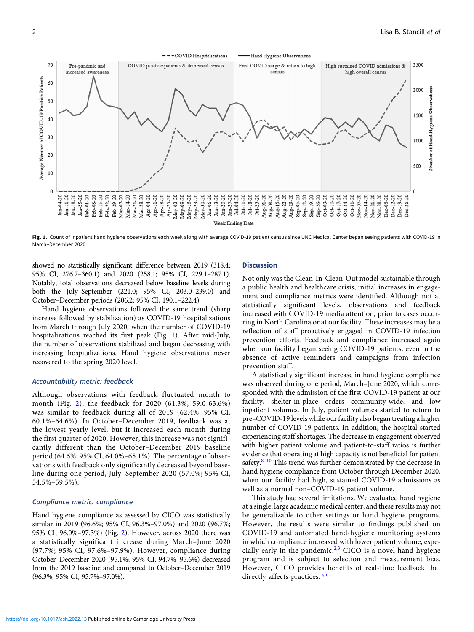

Fig. 1. Count of inpatient hand hygiene observations each week along with average COVID-19 patient census since UNC Medical Center began seeing patients with COVID-19 in March–December 2020.

showed no statistically significant difference between 2019 (318.4; 95% CI, 276.7–360.1) and 2020 (258.1; 95% CI, 229.1–287.1). Notably, total observations decreased below baseline levels during both the July–September (221.0; 95% CI, 203.0–239.0) and October–December periods (206.2; 95% CI, 190.1–222.4).

Hand hygiene observations followed the same trend (sharp increase followed by stabilization) as COVID-19 hospitalizations from March through July 2020, when the number of COVID-19 hospitalizations reached its first peak (Fig. 1). After mid-July, the number of observations stabilized and began decreasing with increasing hospitalizations. Hand hygiene observations never recovered to the spring 2020 level.

#### Accountability metric: feedback

Although observations with feedback fluctuated month to month (Fig. [2\)](#page-2-0), the feedback for 2020 (61.3%, 59.0-63.6%) was similar to feedback during all of 2019 (62.4%; 95% CI, 60.1%–64.6%). In October–December 2019, feedback was at the lowest yearly level, but it increased each month during the first quarter of 2020. However, this increase was not significantly different than the October–December 2019 baseline period (64.6%; 95% CI, 64.0%–65.1%). The percentage of observations with feedback only significantly decreased beyond baseline during one period, July–September 2020 (57.0%; 95% CI, 54.5%–59.5%).

#### Compliance metric: compliance

Hand hygiene compliance as assessed by CICO was statistically similar in 2019 (96.6%; 95% CI, 96.3%–97.0%) and 2020 (96.7%; 95% CI, 96.0%–97.3%) (Fig. [2\)](#page-2-0). However, across 2020 there was a statistically significant increase during March–June 2020 (97.7%; 95% CI, 97.6%–97.9%). However, compliance during October–December 2020 (95.1%; 95% CI, 94.7%–95.6%) decreased from the 2019 baseline and compared to October–December 2019 (96.3%; 95% CI, 95.7%–97.0%).

#### **Discussion**

Not only was the Clean-In-Clean-Out model sustainable through a public health and healthcare crisis, initial increases in engagement and compliance metrics were identified. Although not at statistically significant levels, observations and feedback increased with COVID-19 media attention, prior to cases occurring in North Carolina or at our facility. These increases may be a reflection of staff proactively engaged in COVID-19 infection prevention efforts. Feedback and compliance increased again when our facility began seeing COVID-19 patients, even in the absence of active reminders and campaigns from infection prevention staff.

A statistically significant increase in hand hygiene compliance was observed during one period, March–June 2020, which corresponded with the admission of the first COVID-19 patient at our facility, shelter-in-place orders community-wide, and low inpatient volumes. In July, patient volumes started to return to pre–COVID-19 levels while our facility also began treating a higher number of COVID-19 patients. In addition, the hospital started experiencing staff shortages. The decrease in engagement observed with higher patient volume and patient-to-staff ratios is further evidence that operating at high capacity is not beneficial for patient safety. $8-10$  $8-10$  $8-10$  This trend was further demonstrated by the decrease in hand hygiene compliance from October through December 2020, when our facility had high, sustained COVID-19 admissions as well as a normal non–COVID-19 patient volume.

This study had several limitations. We evaluated hand hygiene at a single, large academic medical center, and these results may not be generalizable to other settings or hand hygiene programs. However, the results were similar to findings published on COVID-19 and automated hand-hygiene monitoring systems in which compliance increased with lower patient volume, espe-cially early in the pandemic.<sup>[2,3](#page-2-0)</sup> CICO is a novel hand hygiene program and is subject to selection and measurement bias. However, CICO provides benefits of real-time feedback that directly affects practices.<sup>[5](#page-2-0),[6](#page-2-0)</sup>